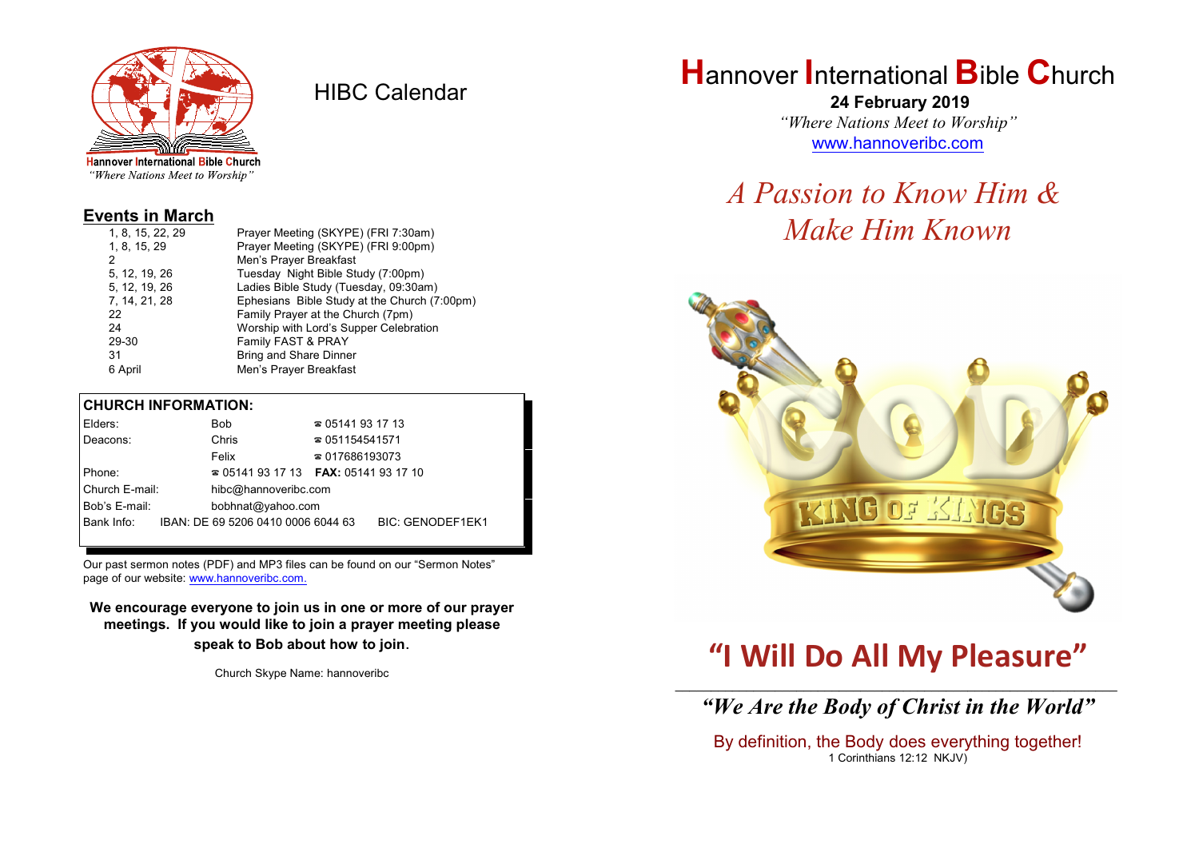

HIBC Calendar

"Where Nations Meet to Worship"

### **Events in March**

| Prayer Meeting (SKYPE) (FRI 9:00pm)<br>1, 8, 15, 29           |  |
|---------------------------------------------------------------|--|
| 2<br>Men's Prayer Breakfast                                   |  |
| Tuesday Night Bible Study (7:00pm)<br>5, 12, 19, 26           |  |
| 5, 12, 19, 26<br>Ladies Bible Study (Tuesday, 09:30am)        |  |
| 7, 14, 21, 28<br>Ephesians Bible Study at the Church (7:00pm) |  |
| Family Prayer at the Church (7pm)<br>22                       |  |
| Worship with Lord's Supper Celebration<br>24                  |  |
| Family FAST & PRAY<br>29-30                                   |  |
| Bring and Share Dinner<br>31                                  |  |
| Men's Prayer Breakfast<br>6 April                             |  |

#### **CHURCH INFORMATION:**

| Elders:                            |  | Bob                                                 | $\approx 05141931713$  |                         |  |
|------------------------------------|--|-----------------------------------------------------|------------------------|-------------------------|--|
| Deacons:                           |  | Chris                                               | $\approx 051154541571$ |                         |  |
|                                    |  | Felix                                               | $\approx 017686193073$ |                         |  |
| Phone:                             |  | <b>2</b> 05141 93 17 13 <b>FAX</b> : 05141 93 17 10 |                        |                         |  |
| Church E-mail:                     |  | hibc@hannoveribc.com                                |                        |                         |  |
| Bob's E-mail:<br>bobhnat@yahoo.com |  |                                                     |                        |                         |  |
| Bank Info:                         |  | IBAN: DE 69 5206 0410 0006 6044 63                  |                        | <b>BIC: GENODEF1EK1</b> |  |
|                                    |  |                                                     |                        |                         |  |

Our past sermon notes (PDF) and MP3 files can be found on our "Sermon Notes" page of our website: [www.hannoveribc.com.](http://www.hannoveribc.com.)

**We encourage everyone to join us in one or more of our prayer meetings. If you would like to join a prayer meeting please speak to Bob about how to join**.

Church Skype Name: hannoveribc

# **H**annover **I**nternational **B**ible **C**hurch

 **24 February 2019** *"Where Nations Meet to Worship"* [www.hannoveribc.com](http://www.hannoveribc.com)

# *A Passion to Know Him & Make Him Known*



# **"I Will Do All My Pleasure"**

### \_\_\_\_\_\_\_\_\_\_\_\_\_\_\_\_\_\_\_\_\_\_\_\_\_\_\_\_\_\_\_\_\_\_\_\_\_\_\_\_\_\_\_\_\_\_\_\_\_\_\_\_\_\_\_\_\_\_\_\_\_\_ *"We Are the Body of Christ in the World"*

By definition, the Body does everything together! 1 Corinthians 12:12 NKJV)